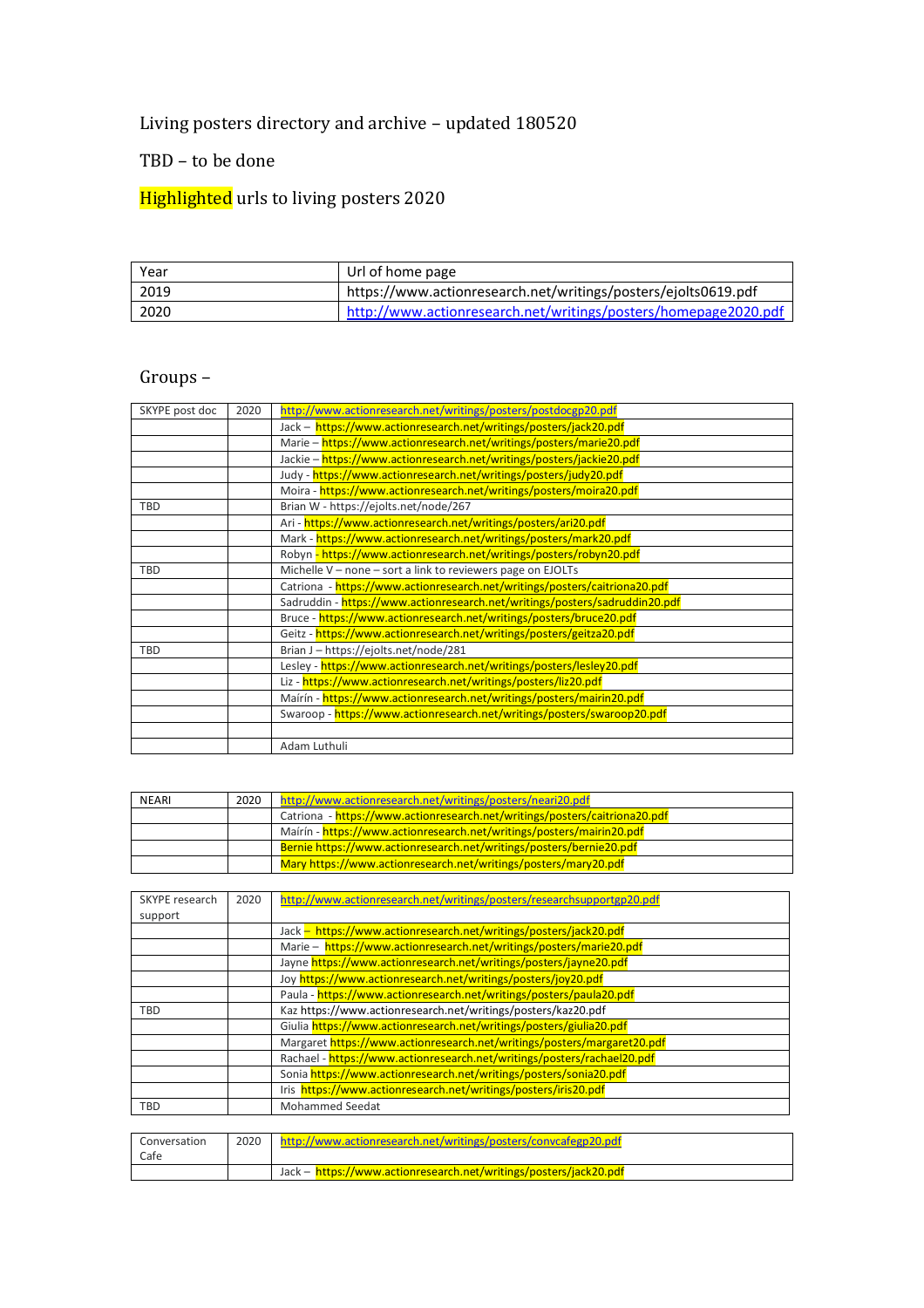## Living posters directory and archive – updated 180520

## TBD – to be done

## Highlighted urls to living posters 2020

| Year | Url of home page                                                |
|------|-----------------------------------------------------------------|
| 2019 | https://www.actionresearch.net/writings/posters/ejolts0619.pdf  |
| 2020 | http://www.actionresearch.net/writings/posters/homepage2020.pdf |

## Groups –

| SKYPE post doc | 2020 | http://www.actionresearch.net/writings/posters/postdocgp20.pdf              |
|----------------|------|-----------------------------------------------------------------------------|
|                |      | Jack - https://www.actionresearch.net/writings/posters/jack20.pdf           |
|                |      | Marie - https://www.actionresearch.net/writings/posters/marie20.pdf         |
|                |      | Jackie - https://www.actionresearch.net/writings/posters/jackie20.pdf       |
|                |      | Judy - https://www.actionresearch.net/writings/posters/judy20.pdf           |
|                |      | Moira - https://www.actionresearch.net/writings/posters/moira20.pdf         |
| TBD            |      | Brian W - https://ejolts.net/node/267                                       |
|                |      | Ari - https://www.actionresearch.net/writings/posters/ari20.pdf             |
|                |      | Mark - https://www.actionresearch.net/writings/posters/mark20.pdf           |
|                |      | Robyn - https://www.actionresearch.net/writings/posters/robyn20.pdf         |
| TBD            |      | Michelle V - none - sort a link to reviewers page on EJOLTs                 |
|                |      | Catriona - https://www.actionresearch.net/writings/posters/caitriona20.pdf  |
|                |      | Sadruddin - https://www.actionresearch.net/writings/posters/sadruddin20.pdf |
|                |      | Bruce - https://www.actionresearch.net/writings/posters/bruce20.pdf         |
|                |      | Geitz - https://www.actionresearch.net/writings/posters/geitza20.pdf        |
| <b>TBD</b>     |      | Brian J - https://ejolts.net/node/281                                       |
|                |      | Lesley - https://www.actionresearch.net/writings/posters/lesley20.pdf       |
|                |      | Liz - https://www.actionresearch.net/writings/posters/liz20.pdf             |
|                |      | Maírín - https://www.actionresearch.net/writings/posters/mairin20.pdf       |
|                |      | Swaroop - https://www.actionresearch.net/writings/posters/swaroop20.pdf     |
|                |      |                                                                             |
|                |      | Adam Luthuli                                                                |

| <b>NEARI</b> | 2020 | http://www.actionresearch.net/writings/posters/neari20.pdf                 |
|--------------|------|----------------------------------------------------------------------------|
|              |      | Catriona - https://www.actionresearch.net/writings/posters/caitriona20.pdf |
|              |      | Mairin - https://www.actionresearch.net/writings/posters/mairin20.pdf      |
|              |      | Bernie https://www.actionresearch.net/writings/posters/bernie20.pdf        |
|              |      | Mary https://www.actionresearch.net/writings/posters/mary20.pdf            |

| SKYPE research | 2020 | http://www.actionresearch.net/writings/posters/researchsupportgp20.pdf  |
|----------------|------|-------------------------------------------------------------------------|
| support        |      |                                                                         |
|                |      | Jack - https://www.actionresearch.net/writings/posters/jack20.pdf       |
|                |      | Marie - https://www.actionresearch.net/writings/posters/marie20.pdf     |
|                |      | Jayne https://www.actionresearch.net/writings/posters/jayne20.pdf       |
|                |      | Joy https://www.actionresearch.net/writings/posters/joy20.pdf           |
|                |      | Paula - https://www.actionresearch.net/writings/posters/paula20.pdf     |
| TBD            |      | Kaz https://www.actionresearch.net/writings/posters/kaz20.pdf           |
|                |      | Giulia https://www.actionresearch.net/writings/posters/giulia20.pdf     |
|                |      | Margaret https://www.actionresearch.net/writings/posters/margaret20.pdf |
|                |      | Rachael - https://www.actionresearch.net/writings/posters/rachael20.pdf |
|                |      | Sonia https://www.actionresearch.net/writings/posters/sonia20.pdf       |
|                |      | Iris https://www.actionresearch.net/writings/posters/iris20.pdf         |
| TBD            |      | <b>Mohammed Seedat</b>                                                  |

| Conversation | 2020 | http://www.actionresearch.net/writings/posters/convcafegp20.pdf   |
|--------------|------|-------------------------------------------------------------------|
| Cafe         |      |                                                                   |
|              |      | Jack - https://www.actionresearch.net/writings/posters/jack20.pdf |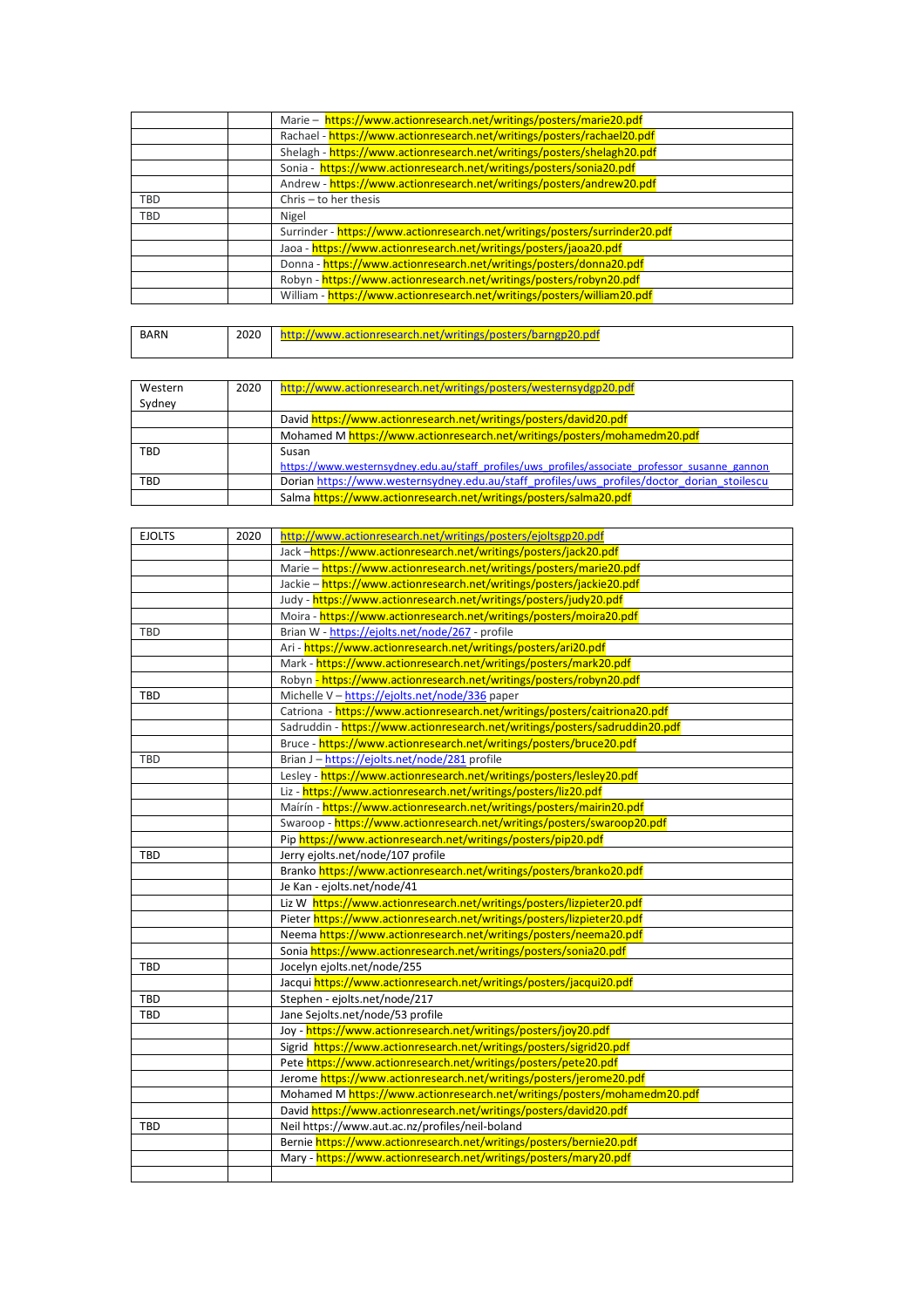|            | Marie - https://www.actionresearch.net/writings/posters/marie20.pdf         |
|------------|-----------------------------------------------------------------------------|
|            | Rachael - https://www.actionresearch.net/writings/posters/rachael20.pdf     |
|            | Shelagh - https://www.actionresearch.net/writings/posters/shelagh20.pdf     |
|            | Sonia - https://www.actionresearch.net/writings/posters/sonia20.pdf         |
|            | Andrew - https://www.actionresearch.net/writings/posters/andrew20.pdf       |
| <b>TBD</b> | Chris - to her thesis                                                       |
| TBD        | Nigel                                                                       |
|            | Surrinder - https://www.actionresearch.net/writings/posters/surrinder20.pdf |
|            | Jaoa - https://www.actionresearch.net/writings/posters/jaoa20.pdf           |
|            | Donna - https://www.actionresearch.net/writings/posters/donna20.pdf         |
|            | Robyn - https://www.actionresearch.net/writings/posters/robyn20.pdf         |
|            | William - https://www.actionresearch.net/writings/posters/william20.pdf     |

| BARN | 2020 | signresearch net/writings/nosters.<br>l.nd<br>$\cdots$ |
|------|------|--------------------------------------------------------|
|      |      |                                                        |

| Western | 2020 | http://www.actionresearch.net/writings/posters/westernsydgp20.pdf                               |
|---------|------|-------------------------------------------------------------------------------------------------|
| Sydney  |      |                                                                                                 |
|         |      | David https://www.actionresearch.net/writings/posters/david20.pdf                               |
|         |      | Mohamed M https://www.actionresearch.net/writings/posters/mohamedm20.pdf                        |
| TBD     |      | Susan                                                                                           |
|         |      | https://www.westernsydney.edu.au/staff profiles/uws profiles/associate professor susanne gannon |
| TBD     |      | Dorian https://www.westernsydney.edu.au/staff profiles/uws profiles/doctor dorian stoilescu     |
|         |      | Salma https://www.actionresearch.net/writings/posters/salma20.pdf                               |

| <b>EJOLTS</b> | 2020 | http://www.actionresearch.net/writings/posters/ejoltsgp20.pdf               |
|---------------|------|-----------------------------------------------------------------------------|
|               |      | Jack-https://www.actionresearch.net/writings/posters/jack20.pdf             |
|               |      | Marie - https://www.actionresearch.net/writings/posters/marie20.pdf         |
|               |      | Jackie - https://www.actionresearch.net/writings/posters/jackie20.pdf       |
|               |      | Judy - https://www.actionresearch.net/writings/posters/judy20.pdf           |
|               |      | Moira - https://www.actionresearch.net/writings/posters/moira20.pdf         |
| <b>TBD</b>    |      | Brian W - https://ejolts.net/node/267 - profile                             |
|               |      | Ari - https://www.actionresearch.net/writings/posters/ari20.pdf             |
|               |      | Mark - https://www.actionresearch.net/writings/posters/mark20.pdf           |
|               |      | Robyn - https://www.actionresearch.net/writings/posters/robyn20.pdf         |
| <b>TBD</b>    |      | Michelle V - https://ejolts.net/node/336 paper                              |
|               |      | Catriona - https://www.actionresearch.net/writings/posters/caitriona20.pdf  |
|               |      | Sadruddin - https://www.actionresearch.net/writings/posters/sadruddin20.pdf |
|               |      | Bruce - https://www.actionresearch.net/writings/posters/bruce20.pdf         |
| TBD           |      | Brian J - https://ejolts.net/node/281 profile                               |
|               |      | Lesley - https://www.actionresearch.net/writings/posters/lesley20.pdf       |
|               |      | Liz - https://www.actionresearch.net/writings/posters/liz20.pdf             |
|               |      | Maírín - https://www.actionresearch.net/writings/posters/mairin20.pdf       |
|               |      | Swaroop - https://www.actionresearch.net/writings/posters/swaroop20.pdf     |
|               |      | Pip https://www.actionresearch.net/writings/posters/pip20.pdf               |
| TBD           |      | Jerry ejolts.net/node/107 profile                                           |
|               |      | Branko https://www.actionresearch.net/writings/posters/branko20.pdf         |
|               |      | Je Kan - ejolts.net/node/41                                                 |
|               |      | Liz W https://www.actionresearch.net/writings/posters/lizpieter20.pdf       |
|               |      | Pieter https://www.actionresearch.net/writings/posters/lizpieter20.pdf      |
|               |      | Neema https://www.actionresearch.net/writings/posters/neema20.pdf           |
|               |      | Sonia https://www.actionresearch.net/writings/posters/sonia20.pdf           |
| <b>TBD</b>    |      | Jocelyn ejolts.net/node/255                                                 |
|               |      | Jacqui https://www.actionresearch.net/writings/posters/jacqui20.pdf         |
| <b>TBD</b>    |      | Stephen - ejolts.net/node/217                                               |
| TBD           |      | Jane Sejolts.net/node/53 profile                                            |
|               |      | Joy - https://www.actionresearch.net/writings/posters/joy20.pdf             |
|               |      | Sigrid https://www.actionresearch.net/writings/posters/sigrid20.pdf         |
|               |      | Pete https://www.actionresearch.net/writings/posters/pete20.pdf             |
|               |      | Jerome https://www.actionresearch.net/writings/posters/jerome20.pdf         |
|               |      | Mohamed M https://www.actionresearch.net/writings/posters/mohamedm20.pdf    |
|               |      | David https://www.actionresearch.net/writings/posters/david20.pdf           |
| TBD           |      | Neil https://www.aut.ac.nz/profiles/neil-boland                             |
|               |      | Bernie https://www.actionresearch.net/writings/posters/bernie20.pdf         |
|               |      | Mary - https://www.actionresearch.net/writings/posters/mary20.pdf           |
|               |      |                                                                             |